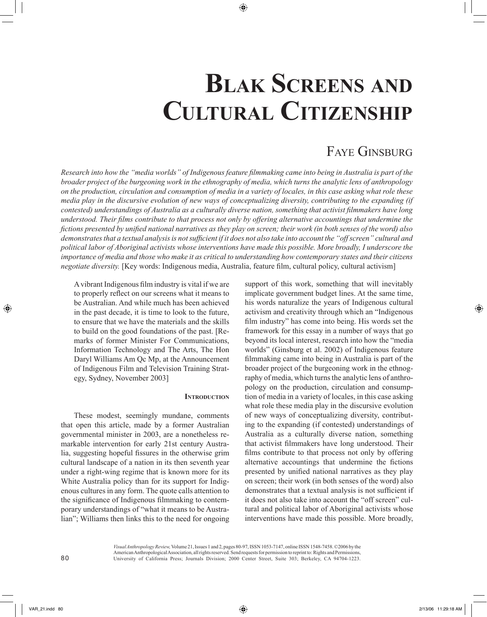# **BLAK SCREENS AND CULTURAL CITIZENSHIP**

# FAYE GINSBURG

*Research into how the "media worlds" of Indigenous feature filmmaking came into being in Australia is part of the broader project of the burgeoning work in the ethnography of media, which turns the analytic lens of anthropology on the production, circulation and consumption of media in a variety of locales, in this case asking what role these media play in the discursive evolution of new ways of conceptualizing diversity, contributing to the expanding (if contested) understandings of Australia as a culturally diverse nation, something that activist filmmakers have long understood. Their films contribute to that process not only by offering alternative accountings that undermine the fictions presented by unified national narratives as they play on screen; their work (in both senses of the word) also demonstrates that a textual analysis is not sufficient if it does not also take into account the "off screen" cultural and political labor of Aboriginal activists whose interventions have made this possible. More broadly, I underscore the importance of media and those who make it as critical to understanding how contemporary states and their citizens negotiate diversity.* [Key words: Indigenous media, Australia, feature film, cultural policy, cultural activism]

A vibrant Indigenous film industry is vital if we are to properly reflect on our screens what it means to be Australian. And while much has been achieved in the past decade, it is time to look to the future, to ensure that we have the materials and the skills to build on the good foundations of the past. [Remarks of former Minister For Communications, Information Technology and The Arts, The Hon Daryl Williams Am Qc Mp, at the Announcement of Indigenous Film and Television Training Strategy, Sydney, November 2003]

### **INTRODUCTION**

These modest, seemingly mundane, comments that open this article, made by a former Australian governmental minister in 2003, are a nonetheless remarkable intervention for early 21st century Australia, suggesting hopeful fissures in the otherwise grim cultural landscape of a nation in its then seventh year under a right-wing regime that is known more for its White Australia policy than for its support for Indigenous cultures in any form. The quote calls attention to the significance of Indigenous filmmaking to contemporary understandings of "what it means to be Australian"; Williams then links this to the need for ongoing

support of this work, something that will inevitably implicate government budget lines. At the same time, his words naturalize the years of Indigenous cultural activism and creativity through which an "Indigenous film industry" has come into being. His words set the framework for this essay in a number of ways that go beyond its local interest, research into how the "media worlds" (Ginsburg et al. 2002) of Indigenous feature filmmaking came into being in Australia is part of the broader project of the burgeoning work in the ethnography of media, which turns the analytic lens of anthropology on the production, circulation and consumption of media in a variety of locales, in this case asking what role these media play in the discursive evolution of new ways of conceptualizing diversity, contributing to the expanding (if contested) understandings of Australia as a culturally diverse nation, something that activist filmmakers have long understood. Their films contribute to that process not only by offering alternative accountings that undermine the fictions presented by unified national narratives as they play on screen; their work (in both senses of the word) also demonstrates that a textual analysis is not sufficient if it does not also take into account the "off screen" cultural and political labor of Aboriginal activists whose interventions have made this possible. More broadly,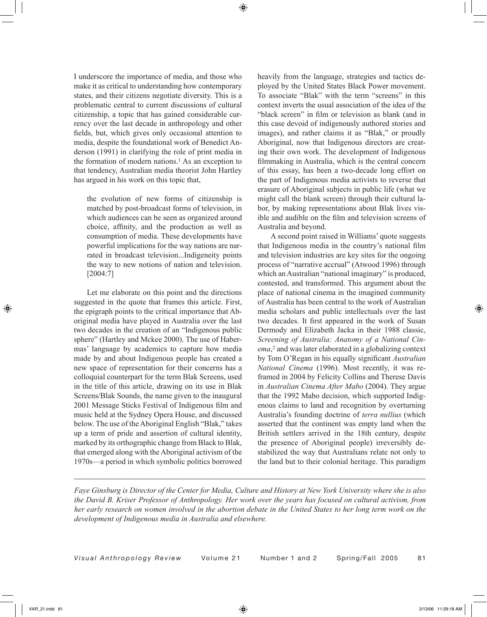I underscore the importance of media, and those who make it as critical to understanding how contemporary states, and their citizens negotiate diversity. This is a problematic central to current discussions of cultural citizenship, a topic that has gained considerable currency over the last decade in anthropology and other fields, but, which gives only occasional attention to media, despite the foundational work of Benedict Anderson (1991) in clarifying the role of print media in the formation of modern nations.<sup>1</sup> As an exception to that tendency, Australian media theorist John Hartley has argued in his work on this topic that,

the evolution of new forms of citizenship is matched by post-broadcast forms of television, in which audiences can be seen as organized around choice, affinity, and the production as well as consumption of media. These developments have powerful implications for the way nations are narrated in broadcast television...Indigeneity points the way to new notions of nation and television. [2004:7]

Let me elaborate on this point and the directions suggested in the quote that frames this article. First, the epigraph points to the critical importance that Aboriginal media have played in Australia over the last two decades in the creation of an "Indigenous public sphere" (Hartley and Mckee 2000). The use of Habermas' language by academics to capture how media made by and about Indigenous people has created a new space of representation for their concerns has a colloquial counterpart for the term Blak Screens, used in the title of this article, drawing on its use in Blak Screens/Blak Sounds, the name given to the inaugural 2001 Message Sticks Festival of Indigenous film and music held at the Sydney Opera House, and discussed below. The use of the Aboriginal English "Blak," takes up a term of pride and assertion of cultural identity, marked by its orthographic change from Black to Blak, that emerged along with the Aboriginal activism of the 1970s—a period in which symbolic politics borrowed

heavily from the language, strategies and tactics deployed by the United States Black Power movement. To associate "Blak" with the term "screens" in this context inverts the usual association of the idea of the "black screen" in film or television as blank (and in this case devoid of indigenously authored stories and images), and rather claims it as "Blak," or proudly Aboriginal, now that Indigenous directors are creating their own work. The development of Indigenous filmmaking in Australia, which is the central concern of this essay, has been a two-decade long effort on the part of Indigenous media activists to reverse that erasure of Aboriginal subjects in public life (what we might call the blank screen) through their cultural labor, by making representations about Blak lives visible and audible on the film and television screens of Australia and beyond.

A second point raised in Williams' quote suggests that Indigenous media in the country's national film and television industries are key sites for the ongoing process of "narrative accrual" (Atwood 1996) through which an Australian "national imaginary" is produced, contested, and transformed. This argument about the place of national cinema in the imagined community of Australia has been central to the work of Australian media scholars and public intellectuals over the last two decades. It first appeared in the work of Susan Dermody and Elizabeth Jacka in their 1988 classic, *Screening of Australia: Anatomy of a National Cinema*,2 and was later elaborated in a globalizing context by Tom O'Regan in his equally significant *Australian National Cinema* (1996). Most recently, it was reframed in 2004 by Felicity Collins and Therese Davis in *Australian Cinema After Mabo* (2004). They argue that the 1992 Mabo decision, which supported Indigenous claims to land and recognition by overturning Australia's founding doctrine of *terra nullius* (which asserted that the continent was empty land when the British settlers arrived in the 18th century, despite the presence of Aboriginal people) irreversibly destabilized the way that Australians relate not only to the land but to their colonial heritage. This paradigm

*Faye Ginsburg is Director of the Center for Media, Culture and History at New York University where she is also the David B. Kriser Professor of Anthropology. Her work over the years has focused on cultural activism, from her early research on women involved in the abortion debate in the United States to her long term work on the development of Indigenous media in Australia and elsewhere.*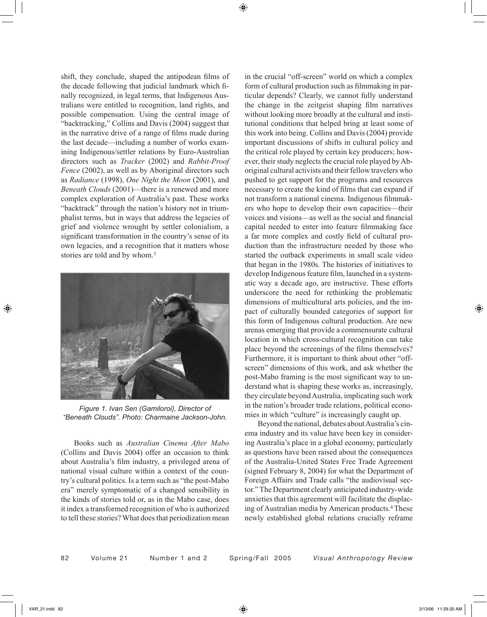shift, they conclude, shaped the antipodean films of the decade following that judicial landmark which finally recognized, in legal terms, that Indigenous Australians were entitled to recognition, land rights, and possible compensation. Using the central image of "backtracking," Collins and Davis (2004) suggest that in the narrative drive of a range of films made during the last decade—including a number of works examining Indigenous/settler relations by Euro-Australian directors such as *Tracker* (2002) and *Rabbit-Proof Fence* (2002), as well as by Aboriginal directors such as *Radiance* (1998), *One Night the Moon* (2001), and *Beneath Clouds* (2001)—there is a renewed and more complex exploration of Australia's past. These works "backtrack" through the nation's history not in triumphalist terms, but in ways that address the legacies of grief and violence wrought by settler colonialism, a significant transformation in the country's sense of its own legacies, and a recognition that it matters whose stories are told and by whom.3



*Figure 1. Ivan Sen (Gamiloroi), Director of "Beneath Clouds". Photo: Charmaine Jackson-John.*

Books such as *Australian Cinema After Mabo* (Collins and Davis 2004) offer an occasion to think about Australia's film industry, a privileged arena of national visual culture within a context of the country's cultural politics. Is a term such as "the post-Mabo era" merely symptomatic of a changed sensibility in the kinds of stories told or, as in the Mabo case, does it index a transformed recognition of who is authorized to tell these stories? What does that periodization mean

in the crucial "off-screen" world on which a complex form of cultural production such as filmmaking in particular depends? Clearly, we cannot fully understand the change in the zeitgeist shaping film narratives without looking more broadly at the cultural and institutional conditions that helped bring at least some of this work into being. Collins and Davis (2004) provide important discussions of shifts in cultural policy and the critical role played by certain key producers; however, their study neglects the crucial role played by Aboriginal cultural activists and their fellow travelers who pushed to get support for the programs and resources necessary to create the kind of films that can expand if not transform a national cinema. Indigenous filmmakers who hope to develop their own capacities—their voices and visions—as well as the social and financial capital needed to enter into feature filmmaking face a far more complex and costly field of cultural production than the infrastructure needed by those who started the outback experiments in small scale video that began in the 1980s. The histories of initiatives to develop Indigenous feature film, launched in a systematic way a decade ago, are instructive. These efforts underscore the need for rethinking the problematic dimensions of multicultural arts policies, and the impact of culturally bounded categories of support for this form of Indigenous cultural production. Are new arenas emerging that provide a commensurate cultural location in which cross-cultural recognition can take place beyond the screenings of the films themselves? Furthermore, it is important to think about other "offscreen" dimensions of this work, and ask whether the post-Mabo framing is the most significant way to understand what is shaping these works as, increasingly, they circulate beyond Australia, implicating such work in the nation's broader trade relations, political economies in which "culture" is increasingly caught up.

Beyond the national, debates about Australia's cinema industry and its value have been key in considering Australia's place in a global economy, particularly as questions have been raised about the consequences of the Australia-United States Free Trade Agreement (signed February 8, 2004) for what the Department of Foreign Affairs and Trade calls "the audiovisual sector." The Department clearly anticipated industry-wide anxieties that this agreement will facilitate the displacing of Australian media by American products.4 These newly established global relations crucially reframe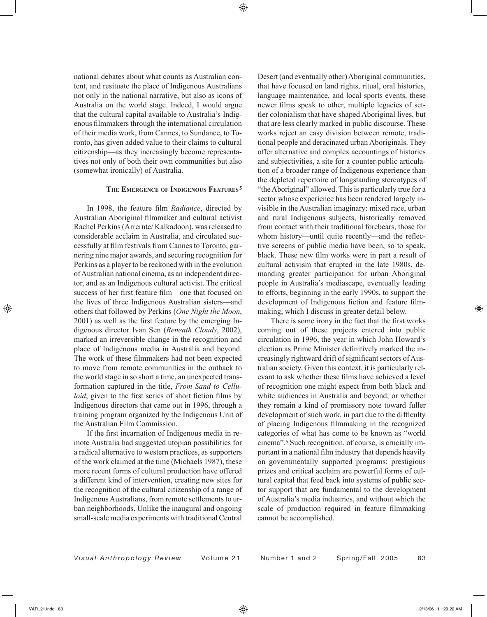national debates about what counts as Australian content, and resituate the place of Indigenous Australians not only in the national narrative, but also as icons of Australia on the world stage. Indeed, I would argue that the cultural capital available to Australia's Indigenous filmmakers through the international circulation of their media work, from Cannes, to Sundance, to Toronto, has given added value to their claims to cultural citizenship—as they increasingly become representatives not only of both their own communities but also (somewhat ironically) of Australia.

## **THE EMERGENCE OF INDIGENOUS FEATURES <sup>5</sup>**

In 1998, the feature film *Radiance*, directed by Australian Aboriginal filmmaker and cultural activist Rachel Perkins (Arrernte/ Kalkadoon), was released to considerable acclaim in Australia, and circulated successfully at film festivals from Cannes to Toronto, garnering nine major awards, and securing recognition for Perkins as a player to be reckoned with in the evolution of Australian national cinema, as an independent director, and as an Indigenous cultural activist. The critical success of her first feature film—one that focused on the lives of three Indigenous Australian sisters—and others that followed by Perkins (*One Night the Moon*, 2001) as well as the first feature by the emerging Indigenous director Ivan Sen (*Beneath Clouds*, 2002), marked an irreversible change in the recognition and place of Indigenous media in Australia and beyond. The work of these filmmakers had not been expected to move from remote communities in the outback to the world stage in so short a time, an unexpected transformation captured in the title, *From Sand to Celluloid*, given to the first series of short fiction films by Indigenous directors that came out in 1996, through a training program organized by the Indigenous Unit of the Australian Film Commission.

If the first incarnation of Indigenous media in remote Australia had suggested utopian possibilities for a radical alternative to western practices, as supporters of the work claimed at the time (Michaels 1987), these more recent forms of cultural production have offered a different kind of intervention, creating new sites for the recognition of the cultural citizenship of a range of Indigenous Australians, from remote settlements to urban neighborhoods. Unlike the inaugural and ongoing small-scale media experiments with traditional Central

Desert (and eventually other) Aboriginal communities, that have focused on land rights, ritual, oral histories, language maintenance, and local sports events, these newer films speak to other, multiple legacies of settler colonialism that have shaped Aboriginal lives, but that are less clearly marked in public discourse. These works reject an easy division between remote, traditional people and deracinated urban Aboriginals. They offer alternative and complex accountings of histories and subjectivities, a site for a counter-public articulation of a broader range of Indigenous experience than the depleted repertoire of longstanding stereotypes of "the Aboriginal" allowed. This is particularly true for a sector whose experience has been rendered largely invisible in the Australian imaginary: mixed race, urban and rural Indigenous subjects, historically removed from contact with their traditional forebears, those for whom history—until quite recently—and the reflective screens of public media have been, so to speak, black. These new film works were in part a result of cultural activism that erupted in the late 1980s, demanding greater participation for urban Aboriginal people in Australia's mediascape, eventually leading to efforts, beginning in the early 1990s, to support the development of Indigenous fiction and feature filmmaking, which I discuss in greater detail below.

There is some irony in the fact that the first works coming out of these projects entered into public circulation in 1996, the year in which John Howard's election as Prime Minister definitively marked the increasingly rightward drift of significant sectors of Australian society. Given this context, it is particularly relevant to ask whether these films have achieved a level of recognition one might expect from both black and white audiences in Australia and beyond, or whether they remain a kind of promissory note toward fuller development of such work, in part due to the difficulty of placing Indigenous filmmaking in the recognized categories of what has come to be known as "world cinema".6 Such recognition, of course, is crucially important in a national film industry that depends heavily on governmentally supported programs: prestigious prizes and critical acclaim are powerful forms of cultural capital that feed back into systems of public sector support that are fundamental to the development of Australia's media industries, and without which the scale of production required in feature filmmaking cannot be accomplished.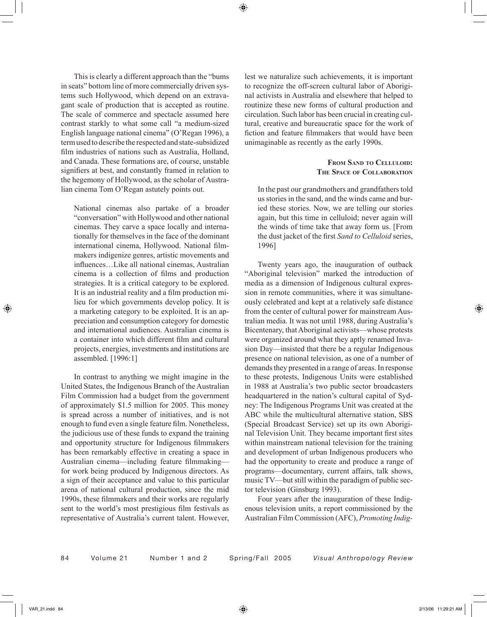This is clearly a different approach than the "bums in seats" bottom line of more commercially driven systems such Hollywood, which depend on an extravagant scale of production that is accepted as routine. The scale of commerce and spectacle assumed here contrast starkly to what some call "a medium-sized English language national cinema" (O'Regan 1996), a term used to describe the respected and state-subsidized film industries of nations such as Australia, Holland, and Canada. These formations are, of course, unstable signifiers at best, and constantly framed in relation to the hegemony of Hollywood, as the scholar of Australian cinema Tom O'Regan astutely points out.

National cinemas also partake of a broader "conversation" with Hollywood and other national cinemas. They carve a space locally and internationally for themselves in the face of the dominant international cinema, Hollywood. National filmmakers indigenize genres, artistic movements and influences…Like all national cinemas, Australian cinema is a collection of films and production strategies. It is a critical category to be explored. It is an industrial reality and a film production milieu for which governments develop policy. It is a marketing category to be exploited. It is an appreciation and consumption category for domestic and international audiences. Australian cinema is a container into which different film and cultural projects, energies, investments and institutions are assembled. [1996:1]

In contrast to anything we might imagine in the United States, the Indigenous Branch of the Australian Film Commission had a budget from the government of approximately \$1.5 million for 2005. This money is spread across a number of initiatives, and is not enough to fund even a single feature film. Nonetheless, the judicious use of these funds to expand the training and opportunity structure for Indigenous filmmakers has been remarkably effective in creating a space in Australian cinema—including feature filmmaking for work being produced by Indigenous directors. As a sign of their acceptance and value to this particular arena of national cultural production, since the mid 1990s, these filmmakers and their works are regularly sent to the world's most prestigious film festivals as representative of Australia's current talent. However, lest we naturalize such achievements, it is important to recognize the off-screen cultural labor of Aboriginal activists in Australia and elsewhere that helped to routinize these new forms of cultural production and circulation. Such labor has been crucial in creating cultural, creative and bureaucratic space for the work of fiction and feature filmmakers that would have been unimaginable as recently as the early 1990s.

# **FROM SAND TO CELLULOID: THE SPACE OF COLLABORATION**

In the past our grandmothers and grandfathers told us stories in the sand, and the winds came and buried these stories. Now, we are telling our stories again, but this time in celluloid; never again will the winds of time take that away form us. [From the dust jacket of the first *Sand to Celluloid* series, 1996]

Twenty years ago, the inauguration of outback "Aboriginal television" marked the introduction of media as a dimension of Indigenous cultural expression in remote communities, where it was simultaneously celebrated and kept at a relatively safe distance from the center of cultural power for mainstream Australian media. It was not until 1988, during Australia's Bicentenary, that Aboriginal activists—whose protests were organized around what they aptly renamed Invasion Day—insisted that there be a regular Indigenous presence on national television, as one of a number of demands they presented in a range of areas. In response to these protests, Indigenous Units were established in 1988 at Australia's two public sector broadcasters headquartered in the nation's cultural capital of Sydney: The Indigenous Programs Unit was created at the ABC while the multicultural alternative station, SBS (Special Broadcast Service) set up its own Aboriginal Television Unit. They became important first sites within mainstream national television for the training and development of urban Indigenous producers who had the opportunity to create and produce a range of programs—documentary, current affairs, talk shows, music TV—but still within the paradigm of public sector television (Ginsburg 1993).

Four years after the inauguration of these Indigenous television units, a report commissioned by the Australian Film Commission (AFC), *Promoting Indig-*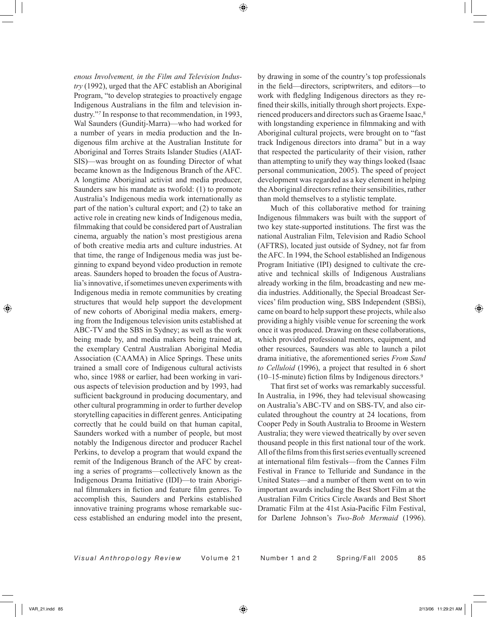*enous Involvement, in the Film and Television Industry* (1992), urged that the AFC establish an Aboriginal Program, "to develop strategies to proactively engage Indigenous Australians in the film and television industry."*7* In response to that recommendation, in 1993, Wal Saunders (Gunditj-Marra)—who had worked for a number of years in media production and the Indigenous film archive at the Australian Institute for Aboriginal and Torres Straits Islander Studies (AIAT-SIS)—was brought on as founding Director of what became known as the Indigenous Branch of the AFC. A longtime Aboriginal activist and media producer, Saunders saw his mandate as twofold: (1) to promote Australia's Indigenous media work internationally as part of the nation's cultural export; and (2) to take an active role in creating new kinds of Indigenous media, filmmaking that could be considered part of Australian cinema, arguably the nation's most prestigious arena of both creative media arts and culture industries. At that time, the range of Indigenous media was just beginning to expand beyond video production in remote areas. Saunders hoped to broaden the focus of Australia's innovative, if sometimes uneven experiments with Indigenous media in remote communities by creating structures that would help support the development of new cohorts of Aboriginal media makers, emerging from the Indigenous television units established at ABC-TV and the SBS in Sydney; as well as the work being made by, and media makers being trained at, the exemplary Central Australian Aboriginal Media Association (CAAMA) in Alice Springs. These units trained a small core of Indigenous cultural activists who, since 1988 or earlier, had been working in various aspects of television production and by 1993, had sufficient background in producing documentary, and other cultural programming in order to further develop storytelling capacities in different genres. Anticipating correctly that he could build on that human capital, Saunders worked with a number of people, but most notably the Indigenous director and producer Rachel Perkins, to develop a program that would expand the remit of the Indigenous Branch of the AFC by creating a series of programs—collectively known as the Indigenous Drama Initiative (IDI)—to train Aboriginal filmmakers in fiction and feature film genres. To accomplish this, Saunders and Perkins established innovative training programs whose remarkable success established an enduring model into the present,

by drawing in some of the country's top professionals in the field—directors, scriptwriters, and editors—to work with fledgling Indigenous directors as they refined their skills, initially through short projects. Experienced producers and directors such as Graeme Isaac,8 with longstanding experience in filmmaking and with Aboriginal cultural projects, were brought on to "fast track Indigenous directors into drama" but in a way that respected the particularity of their vision, rather than attempting to unify they way things looked (Isaac personal communication, 2005). The speed of project development was regarded as a key element in helping the Aboriginal directors refine their sensibilities, rather than mold themselves to a stylistic template.

Much of this collaborative method for training Indigenous filmmakers was built with the support of two key state-supported institutions. The first was the national Australian Film, Television and Radio School (AFTRS), located just outside of Sydney, not far from the AFC. In 1994, the School established an Indigenous Program Initiative (IPI) designed to cultivate the creative and technical skills of Indigenous Australians already working in the film, broadcasting and new media industries. Additionally, the Special Broadcast Services' film production wing, SBS Independent (SBSi), came on board to help support these projects, while also providing a highly visible venue for screening the work once it was produced. Drawing on these collaborations, which provided professional mentors, equipment, and other resources, Saunders was able to launch a pilot drama initiative, the aforementioned series *From Sand to Celluloid* (1996), a project that resulted in 6 short (10–15-minute) fiction films by Indigenous directors.9

That first set of works was remarkably successful. In Australia, in 1996, they had televisual showcasing on Australia's ABC-TV and on SBS-TV, and also circulated throughout the country at 24 locations, from Cooper Pedy in South Australia to Broome in Western Australia; they were viewed theatrically by over seven thousand people in this first national tour of the work. All of the films from this first series eventually screened at international film festivals—from the Cannes Film Festival in France to Telluride and Sundance in the United States—and a number of them went on to win important awards including the Best Short Film at the Australian Film Critics Circle Awards and Best Short Dramatic Film at the 41st Asia-Pacific Film Festival, for Darlene Johnson's *Two-Bob Mermaid* (1996).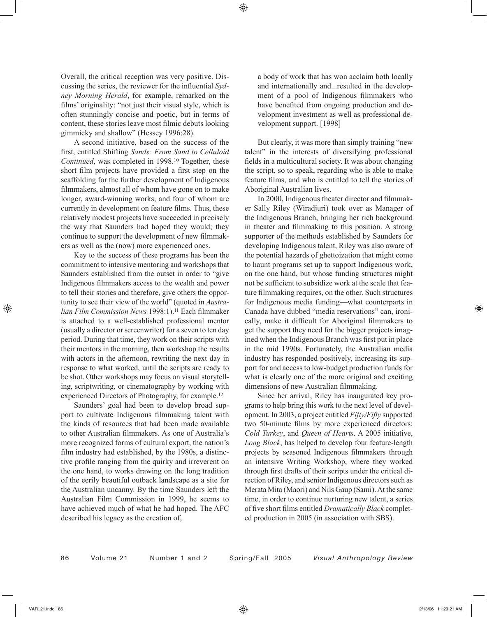Overall, the critical reception was very positive. Discussing the series, the reviewer for the influential *Sydney Morning Herald*, for example, remarked on the films' originality: "not just their visual style, which is often stunningly concise and poetic, but in terms of content, these stories leave most filmic debuts looking gimmicky and shallow" (Hessey 1996:28).

A second initiative, based on the success of the first, entitled Shifting *Sands: From Sand to Celluloid Continued*, was completed in 1998.10 Together, these short film projects have provided a first step on the scaffolding for the further development of Indigenous filmmakers, almost all of whom have gone on to make longer, award-winning works, and four of whom are currently in development on feature films. Thus, these relatively modest projects have succeeded in precisely the way that Saunders had hoped they would; they continue to support the development of new filmmakers as well as the (now) more experienced ones.

Key to the success of these programs has been the commitment to intensive mentoring and workshops that Saunders established from the outset in order to "give Indigenous filmmakers access to the wealth and power to tell their stories and therefore, give others the opportunity to see their view of the world" (quoted in *Australian Film Commission News* 1998:1).11 Each filmmaker is attached to a well-established professional mentor (usually a director or screenwriter) for a seven to ten day period. During that time, they work on their scripts with their mentors in the morning, then workshop the results with actors in the afternoon, rewriting the next day in response to what worked, until the scripts are ready to be shot. Other workshops may focus on visual storytelling, scriptwriting, or cinematography by working with experienced Directors of Photography, for example.12

Saunders' goal had been to develop broad support to cultivate Indigenous filmmaking talent with the kinds of resources that had been made available to other Australian filmmakers. As one of Australia's more recognized forms of cultural export, the nation's film industry had established, by the 1980s, a distinctive profile ranging from the quirky and irreverent on the one hand, to works drawing on the long tradition of the eerily beautiful outback landscape as a site for the Australian uncanny. By the time Saunders left the Australian Film Commission in 1999, he seems to have achieved much of what he had hoped. The AFC described his legacy as the creation of,

a body of work that has won acclaim both locally and internationally and...resulted in the development of a pool of Indigenous filmmakers who have benefited from ongoing production and development investment as well as professional development support. [1998]

But clearly, it was more than simply training "new talent" in the interests of diversifying professional fields in a multicultural society. It was about changing the script, so to speak, regarding who is able to make feature films, and who is entitled to tell the stories of Aboriginal Australian lives.

In 2000, Indigenous theater director and filmmaker Sally Riley (Wiradjuri) took over as Manager of the Indigenous Branch, bringing her rich background in theater and filmmaking to this position. A strong supporter of the methods established by Saunders for developing Indigenous talent, Riley was also aware of the potential hazards of ghettoization that might come to haunt programs set up to support Indigenous work, on the one hand, but whose funding structures might not be sufficient to subsidize work at the scale that feature filmmaking requires, on the other. Such structures for Indigenous media funding—what counterparts in Canada have dubbed "media reservations" can, ironically, make it difficult for Aboriginal filmmakers to get the support they need for the bigger projects imagined when the Indigenous Branch was first put in place in the mid 1990s. Fortunately, the Australian media industry has responded positively, increasing its support for and access to low-budget production funds for what is clearly one of the more original and exciting dimensions of new Australian filmmaking.

Since her arrival, Riley has inaugurated key programs to help bring this work to the next level of development. In 2003, a project entitled *Fifty/Fifty* supported two 50-minute films by more experienced directors: *Cold Turkey*, and *Queen of Hearts*. A 2005 initiative, *Long Black*, has helped to develop four feature-length projects by seasoned Indigenous filmmakers through an intensive Writing Workshop, where they worked through first drafts of their scripts under the critical direction of Riley, and senior Indigenous directors such as Merata Mita (Maori) and Nils Gaup (Sami). At the same time, in order to continue nurturing new talent, a series of five short films entitled *Dramatically Black* completed production in 2005 (in association with SBS).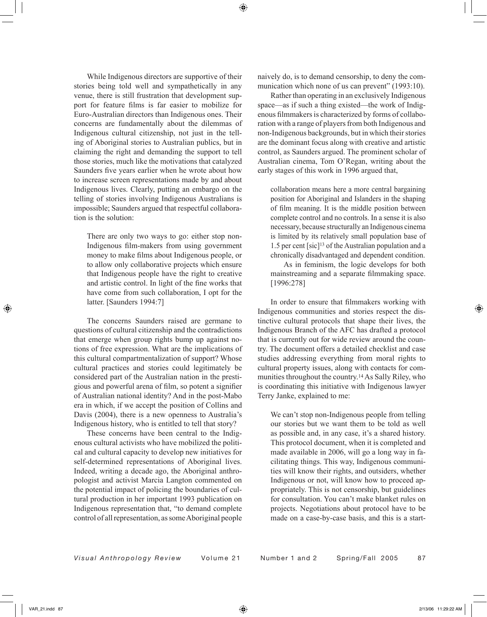While Indigenous directors are supportive of their stories being told well and sympathetically in any venue, there is still frustration that development support for feature films is far easier to mobilize for Euro-Australian directors than Indigenous ones. Their concerns are fundamentally about the dilemmas of Indigenous cultural citizenship, not just in the telling of Aboriginal stories to Australian publics, but in claiming the right and demanding the support to tell those stories, much like the motivations that catalyzed Saunders five years earlier when he wrote about how to increase screen representations made by and about Indigenous lives. Clearly, putting an embargo on the telling of stories involving Indigenous Australians is impossible; Saunders argued that respectful collaboration is the solution:

There are only two ways to go: either stop non-Indigenous film-makers from using government money to make films about Indigenous people, or to allow only collaborative projects which ensure that Indigenous people have the right to creative and artistic control. In light of the fine works that have come from such collaboration, I opt for the latter. [Saunders 1994:7]

The concerns Saunders raised are germane to questions of cultural citizenship and the contradictions that emerge when group rights bump up against notions of free expression. What are the implications of this cultural compartmentalization of support? Whose cultural practices and stories could legitimately be considered part of the Australian nation in the prestigious and powerful arena of film, so potent a signifier of Australian national identity? And in the post-Mabo era in which, if we accept the position of Collins and Davis (2004), there is a new openness to Australia's Indigenous history, who is entitled to tell that story?

These concerns have been central to the Indigenous cultural activists who have mobilized the political and cultural capacity to develop new initiatives for self-determined representations of Aboriginal lives. Indeed, writing a decade ago, the Aboriginal anthropologist and activist Marcia Langton commented on the potential impact of policing the boundaries of cultural production in her important 1993 publication on Indigenous representation that, "to demand complete control of all representation, as some Aboriginal people

naively do, is to demand censorship, to deny the communication which none of us can prevent" (1993:10).

Rather than operating in an exclusively Indigenous space—as if such a thing existed—the work of Indigenous filmmakers is characterized by forms of collaboration with a range of players from both Indigenous and non-Indigenous backgrounds, but in which their stories are the dominant focus along with creative and artistic control, as Saunders argued. The prominent scholar of Australian cinema, Tom O'Regan, writing about the early stages of this work in 1996 argued that,

collaboration means here a more central bargaining position for Aboriginal and Islanders in the shaping of film meaning. It is the middle position between complete control and no controls. In a sense it is also necessary, because structurally an Indigenous cinema is limited by its relatively small population base of 1.5 per cent [sic]13 of the Australian population and a chronically disadvantaged and dependent condition.

 As in feminism, the logic develops for both mainstreaming and a separate filmmaking space. [1996:278]

In order to ensure that filmmakers working with Indigenous communities and stories respect the distinctive cultural protocols that shape their lives, the Indigenous Branch of the AFC has drafted a protocol that is currently out for wide review around the country. The document offers a detailed checklist and case studies addressing everything from moral rights to cultural property issues, along with contacts for communities throughout the country.14 As Sally Riley, who is coordinating this initiative with Indigenous lawyer Terry Janke, explained to me:

We can't stop non-Indigenous people from telling our stories but we want them to be told as well as possible and, in any case, it's a shared history. This protocol document, when it is completed and made available in 2006, will go a long way in facilitating things. This way, Indigenous communities will know their rights, and outsiders, whether Indigenous or not, will know how to proceed appropriately. This is not censorship, but guidelines for consultation. You can't make blanket rules on projects. Negotiations about protocol have to be made on a case-by-case basis, and this is a start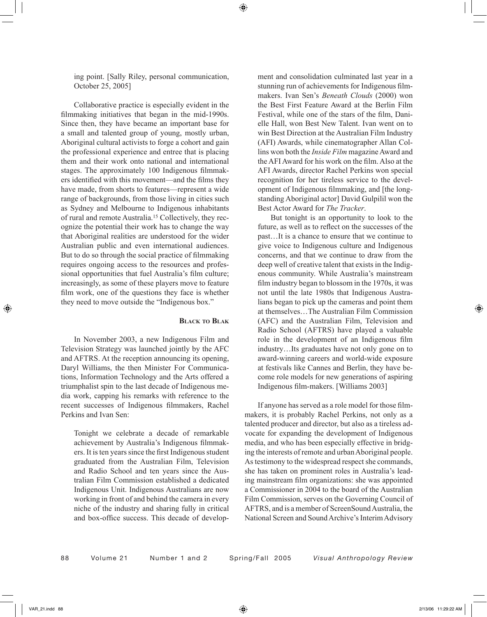ing point. [Sally Riley, personal communication, October 25, 2005]

Collaborative practice is especially evident in the filmmaking initiatives that began in the mid-1990s. Since then, they have became an important base for a small and talented group of young, mostly urban, Aboriginal cultural activists to forge a cohort and gain the professional experience and entree that is placing them and their work onto national and international stages. The approximately 100 Indigenous filmmakers identified with this movement—and the films they have made, from shorts to features—represent a wide range of backgrounds, from those living in cities such as Sydney and Melbourne to Indigenous inhabitants of rural and remote Australia.15 Collectively, they recognize the potential their work has to change the way that Aboriginal realities are understood for the wider Australian public and even international audiences. But to do so through the social practice of filmmaking requires ongoing access to the resources and professional opportunities that fuel Australia's film culture; increasingly, as some of these players move to feature film work, one of the questions they face is whether they need to move outside the "Indigenous box."

# **BLACK TO BLAK**

In November 2003, a new Indigenous Film and Television Strategy was launched jointly by the AFC and AFTRS. At the reception announcing its opening, Daryl Williams, the then Minister For Communications, Information Technology and the Arts offered a triumphalist spin to the last decade of Indigenous media work, capping his remarks with reference to the recent successes of Indigenous filmmakers, Rachel Perkins and Ivan Sen:

Tonight we celebrate a decade of remarkable achievement by Australia's Indigenous filmmakers. It is ten years since the first Indigenous student graduated from the Australian Film, Television and Radio School and ten years since the Australian Film Commission established a dedicated Indigenous Unit. Indigenous Australians are now working in front of and behind the camera in every niche of the industry and sharing fully in critical and box-office success. This decade of development and consolidation culminated last year in a stunning run of achievements for Indigenous filmmakers. Ivan Sen's *Beneath Clouds* (2000) won the Best First Feature Award at the Berlin Film Festival, while one of the stars of the film, Danielle Hall, won Best New Talent. Ivan went on to win Best Direction at the Australian Film Industry (AFI) Awards, while cinematographer Allan Collins won both the *Inside Film* magazine Award and the AFI Award for his work on the film. Also at the AFI Awards, director Rachel Perkins won special recognition for her tireless service to the development of Indigenous filmmaking, and [the longstanding Aboriginal actor] David Gulpilil won the Best Actor Award for *The Tracker*.

 But tonight is an opportunity to look to the future, as well as to reflect on the successes of the past…It is a chance to ensure that we continue to give voice to Indigenous culture and Indigenous concerns, and that we continue to draw from the deep well of creative talent that exists in the Indigenous community. While Australia's mainstream film industry began to blossom in the 1970s, it was not until the late 1980s that Indigenous Australians began to pick up the cameras and point them at themselves…The Australian Film Commission (AFC) and the Australian Film, Television and Radio School (AFTRS) have played a valuable role in the development of an Indigenous film industry…Its graduates have not only gone on to award-winning careers and world-wide exposure at festivals like Cannes and Berlin, they have become role models for new generations of aspiring Indigenous film-makers. [Williams 2003]

If anyone has served as a role model for those filmmakers, it is probably Rachel Perkins, not only as a talented producer and director, but also as a tireless advocate for expanding the development of Indigenous media, and who has been especially effective in bridging the interests of remote and urban Aboriginal people. As testimony to the widespread respect she commands, she has taken on prominent roles in Australia's leading mainstream film organizations: she was appointed a Commissioner in 2004 to the board of the Australian Film Commission, serves on the Governing Council of AFTRS, and is a member of ScreenSound Australia, the National Screen and Sound Archive's Interim Advisory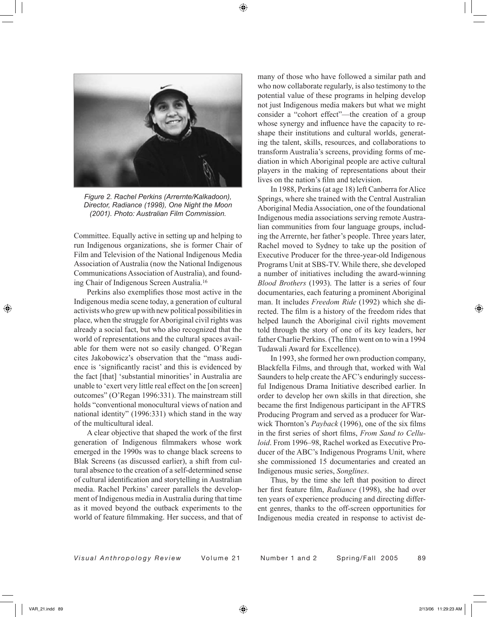

*Figure 2. Rachel Perkins (Arrernte/Kalkadoon), Director, Radiance (1998), One Night the Moon (2001). Photo: Australian Film Commission.*

Committee. Equally active in setting up and helping to run Indigenous organizations, she is former Chair of Film and Television of the National Indigenous Media Association of Australia (now the National Indigenous Communications Association of Australia), and founding Chair of Indigenous Screen Australia.16

Perkins also exemplifies those most active in the Indigenous media scene today, a generation of cultural activists who grew up with new political possibilities in place, when the struggle for Aboriginal civil rights was already a social fact, but who also recognized that the world of representations and the cultural spaces available for them were not so easily changed. O'Regan cites Jakobowicz's observation that the "mass audience is 'significantly racist' and this is evidenced by the fact [that] 'substantial minorities' in Australia are unable to 'exert very little real effect on the [on screen] outcomes" (O'Regan 1996:331). The mainstream still holds "conventional monocultural views of nation and national identity" (1996:331) which stand in the way of the multicultural ideal.

A clear objective that shaped the work of the first generation of Indigenous filmmakers whose work emerged in the 1990s was to change black screens to Blak Screens (as discussed earlier), a shift from cultural absence to the creation of a self-determined sense of cultural identification and storytelling in Australian media. Rachel Perkins' career parallels the development of Indigenous media in Australia during that time as it moved beyond the outback experiments to the world of feature filmmaking. Her success, and that of

many of those who have followed a similar path and who now collaborate regularly, is also testimony to the potential value of these programs in helping develop not just Indigenous media makers but what we might consider a "cohort effect"—the creation of a group whose synergy and influence have the capacity to reshape their institutions and cultural worlds, generating the talent, skills, resources, and collaborations to transform Australia's screens, providing forms of mediation in which Aboriginal people are active cultural players in the making of representations about their lives on the nation's film and television.

In 1988, Perkins (at age 18) left Canberra for Alice Springs, where she trained with the Central Australian Aboriginal Media Association, one of the foundational Indigenous media associations serving remote Australian communities from four language groups, including the Arrernte, her father's people. Three years later, Rachel moved to Sydney to take up the position of Executive Producer for the three-year-old Indigenous Programs Unit at SBS-TV. While there, she developed a number of initiatives including the award-winning *Blood Brothers* (1993). The latter is a series of four documentaries, each featuring a prominent Aboriginal man. It includes *Freedom Ride* (1992) which she directed. The film is a history of the freedom rides that helped launch the Aboriginal civil rights movement told through the story of one of its key leaders, her father Charlie Perkins. (The film went on to win a 1994 Tudawali Award for Excellence).

In 1993, she formed her own production company, Blackfella Films, and through that, worked with Wal Saunders to help create the AFC's enduringly successful Indigenous Drama Initiative described earlier. In order to develop her own skills in that direction, she became the first Indigenous participant in the AFTRS Producing Program and served as a producer for Warwick Thornton's *Payback* (1996), one of the six films in the first series of short films, *From Sand to Celluloid*. From 1996–98, Rachel worked as Executive Producer of the ABC's Indigenous Programs Unit, where she commissioned 15 documentaries and created an Indigenous music series, *Songlines*.

Thus, by the time she left that position to direct her first feature film, *Radiance* (1998), she had over ten years of experience producing and directing different genres, thanks to the off-screen opportunities for Indigenous media created in response to activist de-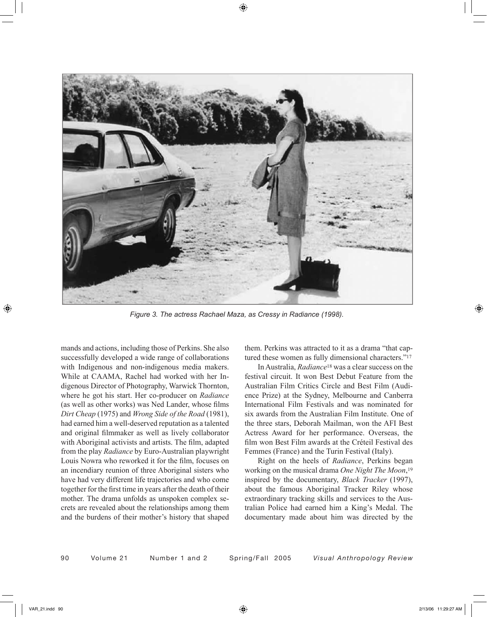

*Figure 3. The actress Rachael Maza, as Cressy in Radiance (1998).*

mands and actions, including those of Perkins. She also successfully developed a wide range of collaborations with Indigenous and non-indigenous media makers. While at CAAMA, Rachel had worked with her Indigenous Director of Photography, Warwick Thornton, where he got his start. Her co-producer on *Radiance* (as well as other works) was Ned Lander, whose films *Dirt Cheap* (1975) and *Wrong Side of the Road* (1981), had earned him a well-deserved reputation as a talented and original filmmaker as well as lively collaborator with Aboriginal activists and artists. The film, adapted from the play *Radiance* by Euro-Australian playwright Louis Nowra who reworked it for the film, focuses on an incendiary reunion of three Aboriginal sisters who have had very different life trajectories and who come together for the first time in years after the death of their mother. The drama unfolds as unspoken complex secrets are revealed about the relationships among them and the burdens of their mother's history that shaped

them. Perkins was attracted to it as a drama "that captured these women as fully dimensional characters."17

In Australia, *Radiance*18 was a clear success on the festival circuit. It won Best Debut Feature from the Australian Film Critics Circle and Best Film (Audience Prize) at the Sydney, Melbourne and Canberra International Film Festivals and was nominated for six awards from the Australian Film Institute. One of the three stars, Deborah Mailman, won the AFI Best Actress Award for her performance. Overseas, the film won Best Film awards at the Créteil Festival des Femmes (France) and the Turin Festival (Italy).

Right on the heels of *Radiance*, Perkins began working on the musical drama *One Night The Moon*,19 inspired by the documentary, *Black Tracker* (1997), about the famous Aboriginal Tracker Riley whose extraordinary tracking skills and services to the Australian Police had earned him a King's Medal. The documentary made about him was directed by the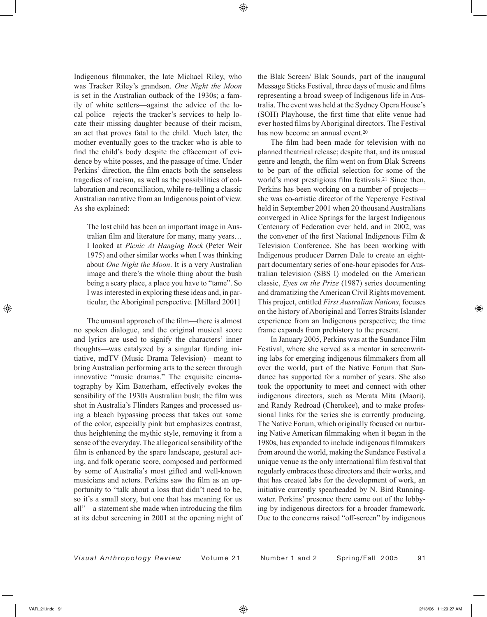Indigenous filmmaker, the late Michael Riley, who was Tracker Riley's grandson. *One Night the Moon* is set in the Australian outback of the 1930s; a family of white settlers—against the advice of the local police—rejects the tracker's services to help locate their missing daughter because of their racism, an act that proves fatal to the child. Much later, the mother eventually goes to the tracker who is able to find the child's body despite the effacement of evidence by white posses, and the passage of time. Under Perkins' direction, the film enacts both the senseless tragedies of racism, as well as the possibilities of collaboration and reconciliation, while re-telling a classic Australian narrative from an Indigenous point of view. As she explained:

The lost child has been an important image in Australian film and literature for many, many years… I looked at *Picnic At Hanging Rock* (Peter Weir 1975) and other similar works when I was thinking about *One Night the Moon*. It is a very Australian image and there's the whole thing about the bush being a scary place, a place you have to "tame". So I was interested in exploring these ideas and, in particular, the Aboriginal perspective. [Millard 2001]

The unusual approach of the film—there is almost no spoken dialogue, and the original musical score and lyrics are used to signify the characters' inner thoughts—was catalyzed by a singular funding initiative, mdTV (Music Drama Television)—meant to bring Australian performing arts to the screen through innovative "music dramas." The exquisite cinematography by Kim Batterham, effectively evokes the sensibility of the 1930s Australian bush; the film was shot in Australia's Flinders Ranges and processed using a bleach bypassing process that takes out some of the color, especially pink but emphasizes contrast, thus heightening the mythic style, removing it from a sense of the everyday. The allegorical sensibility of the film is enhanced by the spare landscape, gestural acting, and folk operatic score, composed and performed by some of Australia's most gifted and well-known musicians and actors. Perkins saw the film as an opportunity to "talk about a loss that didn't need to be, so it's a small story, but one that has meaning for us all"—a statement she made when introducing the film at its debut screening in 2001 at the opening night of

the Blak Screen/ Blak Sounds, part of the inaugural Message Sticks Festival, three days of music and films representing a broad sweep of Indigenous life in Australia. The event was held at the Sydney Opera House's (SOH) Playhouse, the first time that elite venue had ever hosted films by Aboriginal directors. The Festival has now become an annual event.<sup>20</sup>

The film had been made for television with no planned theatrical release; despite that, and its unusual genre and length, the film went on from Blak Screens to be part of the official selection for some of the world's most prestigious film festivals.<sup>21</sup> Since then, Perkins has been working on a number of projects she was co-artistic director of the Yeperenye Festival held in September 2001 when 20 thousand Australians converged in Alice Springs for the largest Indigenous Centenary of Federation ever held, and in 2002, was the convener of the first National Indigenous Film & Television Conference. She has been working with Indigenous producer Darren Dale to create an eightpart documentary series of one-hour episodes for Australian television (SBS I) modeled on the American classic, *Eyes on the Prize* (1987) series documenting and dramatizing the American Civil Rights movement. This project, entitled *First Australian Nations*, focuses on the history of Aboriginal and Torres Straits Islander experience from an Indigenous perspective; the time frame expands from prehistory to the present.

In January 2005, Perkins was at the Sundance Film Festival, where she served as a mentor in screenwriting labs for emerging indigenous filmmakers from all over the world, part of the Native Forum that Sundance has supported for a number of years. She also took the opportunity to meet and connect with other indigenous directors, such as Merata Mita (Maori), and Randy Redroad (Cherokee), and to make professional links for the series she is currently producing. The Native Forum, which originally focused on nurturing Native American filmmaking when it began in the 1980s, has expanded to include indigenous filmmakers from around the world, making the Sundance Festival a unique venue as the only international film festival that regularly embraces these directors and their works, and that has created labs for the development of work, an initiative currently spearheaded by N. Bird Runningwater. Perkins' presence there came out of the lobbying by indigenous directors for a broader framework. Due to the concerns raised "off-screen" by indigenous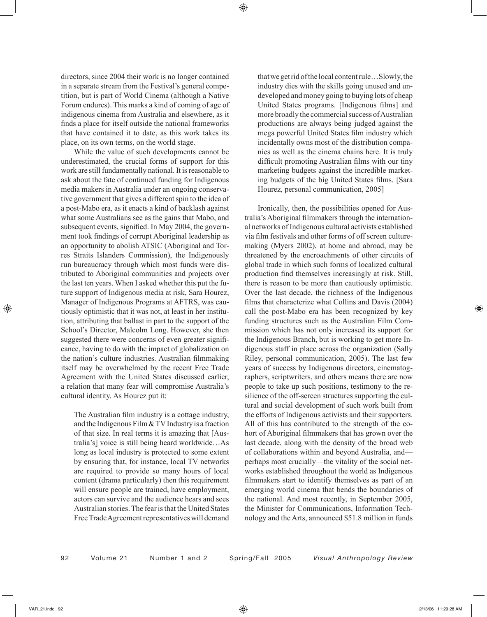directors, since 2004 their work is no longer contained in a separate stream from the Festival's general competition, but is part of World Cinema (although a Native Forum endures). This marks a kind of coming of age of indigenous cinema from Australia and elsewhere, as it finds a place for itself outside the national frameworks that have contained it to date, as this work takes its place, on its own terms, on the world stage.

While the value of such developments cannot be underestimated, the crucial forms of support for this work are still fundamentally national. It is reasonable to ask about the fate of continued funding for Indigenous media makers in Australia under an ongoing conservative government that gives a different spin to the idea of a post-Mabo era, as it enacts a kind of backlash against what some Australians see as the gains that Mabo, and subsequent events, signified. In May 2004, the government took findings of corrupt Aboriginal leadership as an opportunity to abolish ATSIC (Aboriginal and Torres Straits Islanders Commission), the Indigenously run bureaucracy through which most funds were distributed to Aboriginal communities and projects over the last ten years. When I asked whether this put the future support of Indigenous media at risk, Sara Hourez, Manager of Indigenous Programs at AFTRS, was cautiously optimistic that it was not, at least in her institution, attributing that ballast in part to the support of the School's Director, Malcolm Long. However, she then suggested there were concerns of even greater significance, having to do with the impact of globalization on the nation's culture industries. Australian filmmaking itself may be overwhelmed by the recent Free Trade Agreement with the United States discussed earlier, a relation that many fear will compromise Australia's cultural identity. As Hourez put it:

The Australian film industry is a cottage industry, and the Indigenous Film & TV Industry is a fraction of that size. In real terms it is amazing that [Australia's] voice is still being heard worldwide…As long as local industry is protected to some extent by ensuring that, for instance, local TV networks are required to provide so many hours of local content (drama particularly) then this requirement will ensure people are trained, have employment, actors can survive and the audience hears and sees Australian stories. The fear is that the United States Free Trade Agreement representatives will demand

that we get rid of the local content rule…Slowly, the industry dies with the skills going unused and undeveloped and money going to buying lots of cheap United States programs. [Indigenous films] and more broadly the commercial success of Australian productions are always being judged against the mega powerful United States film industry which incidentally owns most of the distribution companies as well as the cinema chains here. It is truly difficult promoting Australian films with our tiny marketing budgets against the incredible marketing budgets of the big United States films. [Sara Hourez, personal communication, 2005]

Ironically, then, the possibilities opened for Australia's Aboriginal filmmakers through the international networks of Indigenous cultural activists established via film festivals and other forms of off screen culturemaking (Myers 2002), at home and abroad, may be threatened by the encroachments of other circuits of global trade in which such forms of localized cultural production find themselves increasingly at risk. Still, there is reason to be more than cautiously optimistic. Over the last decade, the richness of the Indigenous films that characterize what Collins and Davis (2004) call the post-Mabo era has been recognized by key funding structures such as the Australian Film Commission which has not only increased its support for the Indigenous Branch, but is working to get more Indigenous staff in place across the organization (Sally Riley, personal communication, 2005). The last few years of success by Indigenous directors, cinematographers, scriptwriters, and others means there are now people to take up such positions, testimony to the resilience of the off-screen structures supporting the cultural and social development of such work built from the efforts of Indigenous activists and their supporters. All of this has contributed to the strength of the cohort of Aboriginal filmmakers that has grown over the last decade, along with the density of the broad web of collaborations within and beyond Australia, and perhaps most crucially—the vitality of the social networks established throughout the world as Indigenous filmmakers start to identify themselves as part of an emerging world cinema that bends the boundaries of the national. And most recently, in September 2005, the Minister for Communications, Information Technology and the Arts, announced \$51.8 million in funds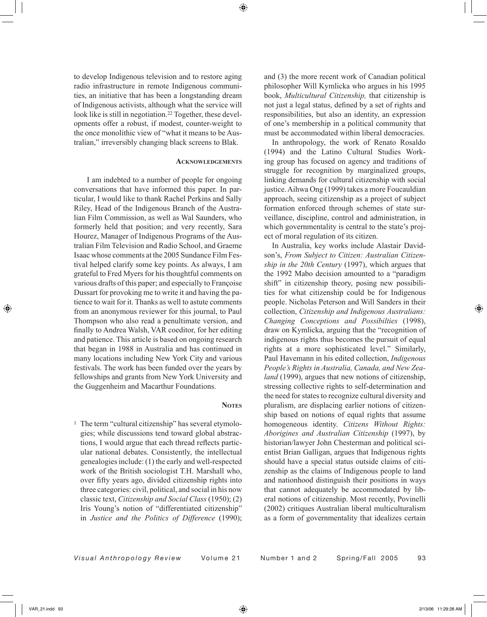to develop Indigenous television and to restore aging radio infrastructure in remote Indigenous communities, an initiative that has been a longstanding dream of Indigenous activists, although what the service will look like is still in negotiation.<sup>22</sup> Together, these developments offer a robust, if modest, counter-weight to the once monolithic view of "what it means to be Australian," irreversibly changing black screens to Blak.

### **ACKNOWLEDGEMENTS**

I am indebted to a number of people for ongoing conversations that have informed this paper. In particular, I would like to thank Rachel Perkins and Sally Riley, Head of the Indigenous Branch of the Australian Film Commission, as well as Wal Saunders, who formerly held that position; and very recently, Sara Hourez, Manager of Indigenous Programs of the Australian Film Television and Radio School, and Graeme Isaac whose comments at the 2005 Sundance Film Festival helped clarify some key points. As always, I am grateful to Fred Myers for his thoughtful comments on various drafts of this paper; and especially to Françoise Dussart for provoking me to write it and having the patience to wait for it. Thanks as well to astute comments from an anonymous reviewer for this journal, to Paul Thompson who also read a penultimate version, and finally to Andrea Walsh, VAR coeditor, for her editing and patience. This article is based on ongoing research that began in 1988 in Australia and has continued in many locations including New York City and various festivals. The work has been funded over the years by fellowships and grants from New York University and the Guggenheim and Macarthur Foundations.

#### **NOTES**

<sup>1</sup> The term "cultural citizenship" has several etymologies; while discussions tend toward global abstractions, I would argue that each thread reflects particular national debates. Consistently, the intellectual genealogies include: (1) the early and well-respected work of the British sociologist T.H. Marshall who, over fifty years ago, divided citizenship rights into three categories: civil, political, and social in his now classic text, *Citizenship and Social Class* (1950); (2) Iris Young's notion of "differentiated citizenship" in *Justice and the Politics of Difference* (1990); and (3) the more recent work of Canadian political philosopher Will Kymlicka who argues in his 1995 book, *Multicultural Citizenship,* that citizenship is not just a legal status, defined by a set of rights and responsibilities, but also an identity, an expression of one's membership in a political community that must be accommodated within liberal democracies.

 In anthropology, the work of Renato Rosaldo (1994) and the Latino Cultural Studies Working group has focused on agency and traditions of struggle for recognition by marginalized groups, linking demands for cultural citizenship with social justice. Aihwa Ong (1999) takes a more Foucauldian approach, seeing citizenship as a project of subject formation enforced through schemes of state surveillance, discipline, control and administration, in which governmentality is central to the state's project of moral regulation of its citizen.

 In Australia, key works include Alastair Davidson's, *From Subject to Citizen: Australian Citizenship in the 20th Century* (1997), which argues that the 1992 Mabo decision amounted to a "paradigm shift" in citizenship theory, posing new possibilities for what citizenship could be for Indigenous people. Nicholas Peterson and Will Sanders in their collection, *Citizenship and Indigenous Australians: Changing Conceptions and Possibilties* (1998), draw on Kymlicka, arguing that the "recognition of indigenous rights thus becomes the pursuit of equal rights at a more sophisticated level." Similarly, Paul Havemann in his edited collection, *Indigenous People's Rights in Australia, Canada, and New Zealand* (1999), argues that new notions of citizenship, stressing collective rights to self-determination and the need for states to recognize cultural diversity and pluralism, are displacing earlier notions of citizenship based on notions of equal rights that assume homogeneous identity. *Citizens Without Rights: Aborigines and Australian Citizenship* (1997), by historian/lawyer John Chesterman and political scientist Brian Galligan, argues that Indigenous rights should have a special status outside claims of citizenship as the claims of Indigenous people to land and nationhood distinguish their positions in ways that cannot adequately be accommodated by liberal notions of citizenship. Most recently, Povinelli (2002) critiques Australian liberal multiculturalism as a form of governmentality that idealizes certain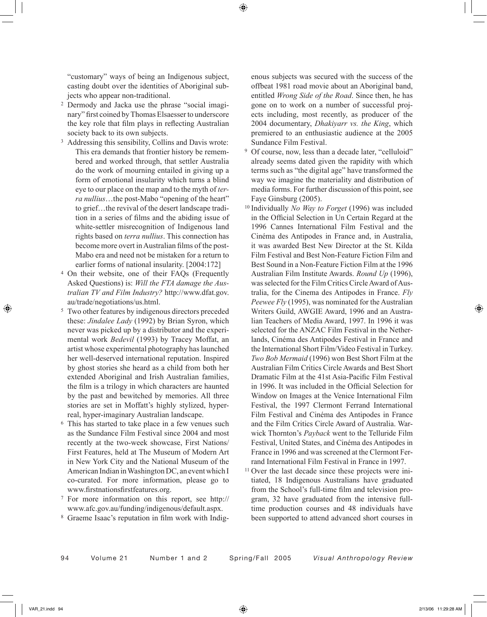"customary" ways of being an Indigenous subject, casting doubt over the identities of Aboriginal subjects who appear non-traditional.

- 2 Dermody and Jacka use the phrase "social imaginary" first coined by Thomas Elsaesser to underscore the key role that film plays in reflecting Australian society back to its own subjects.
- 3 Addressing this sensibility, Collins and Davis wrote: This era demands that frontier history be remembered and worked through, that settler Australia do the work of mourning entailed in giving up a form of emotional insularity which turns a blind eye to our place on the map and to the myth of *terra nullius*…the post-Mabo "opening of the heart" to grief…the revival of the desert landscape tradition in a series of films and the abiding issue of white-settler misrecognition of Indigenous land rights based on *terra nullius*. This connection has become more overt in Australian films of the post-Mabo era and need not be mistaken for a return to earlier forms of national insularity. [2004:172]
- 4 On their website, one of their FAQs (Frequently Asked Questions) is: *Will the FTA damage the Australian TV and Film Industry?* http://www.dfat.gov. au/trade/negotiations/us.html.
- 5 Two other features by indigenous directors preceded these: *Jindalee Lady* (1992) by Brian Syron, which never was picked up by a distributor and the experimental work *Bedevil* (1993) by Tracey Moffat, an artist whose experimental photography has launched her well-deserved international reputation. Inspired by ghost stories she heard as a child from both her extended Aboriginal and Irish Australian families, the film is a trilogy in which characters are haunted by the past and bewitched by memories. All three stories are set in Moffatt's highly stylized, hyperreal, hyper-imaginary Australian landscape.
- 6 This has started to take place in a few venues such as the Sundance Film Festival since 2004 and most recently at the two-week showcase, First Nations/ First Features, held at The Museum of Modern Art in New York City and the National Museum of the American Indian in Washington DC, an event which I co-curated. For more information, please go to www.firstnationsfirstfeatures.org.
- 7 For more information on this report, see http:// www.afc.gov.au/funding/indigenous/default.aspx.
- 8 Graeme Isaac's reputation in film work with Indig-

enous subjects was secured with the success of the offbeat 1981 road movie about an Aboriginal band, entitled *Wrong Side of the Road*. Since then, he has gone on to work on a number of successful projects including, most recently, as producer of the 2004 documentary, *Dhakiyarr vs. the King*, which premiered to an enthusiastic audience at the 2005 Sundance Film Festival.

- 9 Of course, now, less than a decade later, "celluloid" already seems dated given the rapidity with which terms such as "the digital age" have transformed the way we imagine the materiality and distribution of media forms. For further discussion of this point, see Faye Ginsburg (2005).
- 10 Individually *No Way to Forget* (1996) was included in the Official Selection in Un Certain Regard at the 1996 Cannes International Film Festival and the Cinéma des Antipodes in France and, in Australia, it was awarded Best New Director at the St. Kilda Film Festival and Best Non-Feature Fiction Film and Best Sound in a Non-Feature Fiction Film at the 1996 Australian Film Institute Awards. *Round Up* (1996), was selected for the Film Critics Circle Award of Australia, for the Cinema des Antipodes in France. *Fly Peewee Fly* (1995), was nominated for the Australian Writers Guild, AWGIE Award, 1996 and an Australian Teachers of Media Award, 1997. In 1996 it was selected for the ANZAC Film Festival in the Netherlands, Cinéma des Antipodes Festival in France and the International Short Film/Video Festival in Turkey. *Two Bob Mermaid* (1996) won Best Short Film at the Australian Film Critics Circle Awards and Best Short Dramatic Film at the 41st Asia-Pacific Film Festival in 1996. It was included in the Official Selection for Window on Images at the Venice International Film Festival, the 1997 Clermont Ferrand International Film Festival and Cinéma des Antipodes in France and the Film Critics Circle Award of Australia. Warwick Thornton's *Payback* went to the Telluride Film Festival, United States, and Cinéma des Antipodes in France in 1996 and was screened at the Clermont Ferrand International Film Festival in France in 1997.
- 11 Over the last decade since these projects were initiated, 18 Indigenous Australians have graduated from the School's full-time film and television program, 32 have graduated from the intensive fulltime production courses and 48 individuals have been supported to attend advanced short courses in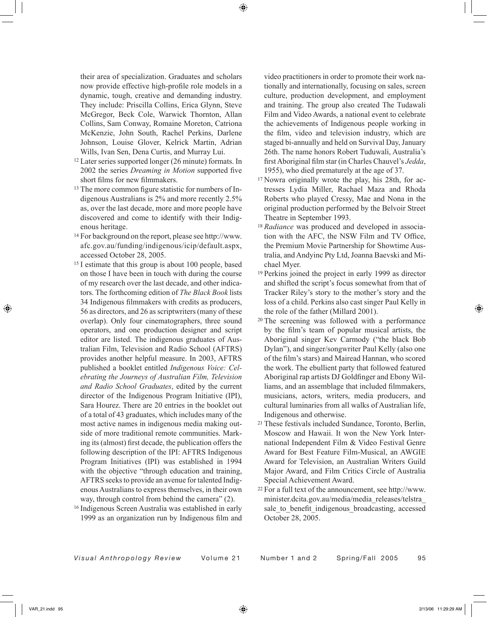their area of specialization. Graduates and scholars now provide effective high-profile role models in a dynamic, tough, creative and demanding industry. They include: Priscilla Collins, Erica Glynn, Steve McGregor, Beck Cole, Warwick Thornton, Allan Collins, Sam Conway, Romaine Moreton, Catriona McKenzie, John South, Rachel Perkins, Darlene Johnson, Louise Glover, Kelrick Martin, Adrian Wills, Ivan Sen, Dena Curtis, and Murray Lui.

- 12 Later series supported longer (26 minute) formats. In 2002 the series *Dreaming in Motion* supported five short films for new filmmakers.
- 13 The more common figure statistic for numbers of Indigenous Australians is 2% and more recently 2.5% as, over the last decade, more and more people have discovered and come to identify with their Indigenous heritage.
- 14 For background on the report, please see http://www. afc.gov.au/funding/indigenous/icip/default.aspx, accessed October 28, 2005.
- 15 I estimate that this group is about 100 people, based on those I have been in touch with during the course of my research over the last decade, and other indicators. The forthcoming edition of *The Black Book* lists 34 Indigenous filmmakers with credits as producers, 56 as directors, and 26 as scriptwriters (many of these overlap). Only four cinematographers, three sound operators, and one production designer and script editor are listed. The indigenous graduates of Australian Film, Television and Radio School (AFTRS) provides another helpful measure. In 2003, AFTRS published a booklet entitled *Indigenous Voice: Celebrating the Journeys of Australian Film, Television and Radio School Graduates*, edited by the current director of the Indigenous Program Initiative (IPI), Sara Hourez. There are 20 entries in the booklet out of a total of 43 graduates, which includes many of the most active names in indigenous media making outside of more traditional remote communities. Marking its (almost) first decade, the publication offers the following description of the IPI: AFTRS Indigenous Program Initiatives (IPI) was established in 1994 with the objective "through education and training, AFTRS seeks to provide an avenue for talented Indigenous Australians to express themselves, in their own way, through control from behind the camera" (2).
- 16 Indigenous Screen Australia was established in early 1999 as an organization run by Indigenous film and

video practitioners in order to promote their work nationally and internationally, focusing on sales, screen culture, production development, and employment and training. The group also created The Tudawali Film and Video Awards, a national event to celebrate the achievements of Indigenous people working in the film, video and television industry, which are staged bi-annually and held on Survival Day, January 26th. The name honors Robert Tuduwali, Australia's first Aboriginal film star (in Charles Chauvel's *Jedda*, 1955), who died prematurely at the age of 37.

- 17 Nowra originally wrote the play, his 28th, for actresses Lydia Miller, Rachael Maza and Rhoda Roberts who played Cressy, Mae and Nona in the original production performed by the Belvoir Street Theatre in September 1993.
- <sup>18</sup> *Radiance* was produced and developed in association with the AFC, the NSW Film and TV Office, the Premium Movie Partnership for Showtime Australia, and Andyinc Pty Ltd, Joanna Baevski and Michael Myer.
- 19 Perkins joined the project in early 1999 as director and shifted the script's focus somewhat from that of Tracker Riley's story to the mother's story and the loss of a child. Perkins also cast singer Paul Kelly in the role of the father (Millard 2001).
- 20 The screening was followed with a performance by the film's team of popular musical artists, the Aboriginal singer Kev Carmody ("the black Bob Dylan"), and singer/songwriter Paul Kelly (also one of the film's stars) and Mairead Hannan, who scored the work. The ebullient party that followed featured Aboriginal rap artists DJ Goldfinger and Ebony Williams, and an assemblage that included filmmakers, musicians, actors, writers, media producers, and cultural luminaries from all walks of Australian life, Indigenous and otherwise.
- 21 These festivals included Sundance, Toronto, Berlin, Moscow and Hawaii. It won the New York International Independent Film & Video Festival Genre Award for Best Feature Film-Musical, an AWGIE Award for Television, an Australian Writers Guild Major Award, and Film Critics Circle of Australia Special Achievement Award.
- 22 For a full text of the announcement, see http://www. minister.dcita.gov.au/media/media\_releases/telstra\_ sale to benefit indigenous broadcasting, accessed October 28, 2005.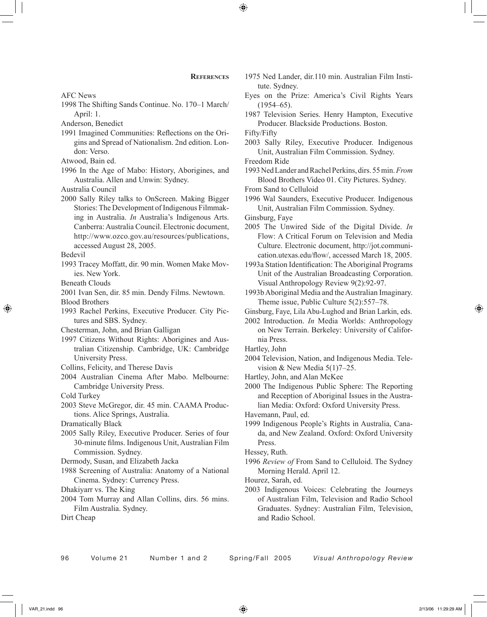AFC News

1998 The Shifting Sands Continue. No. 170–1 March/ April: 1.

Anderson, Benedict

1991 Imagined Communities: Reflections on the Origins and Spread of Nationalism. 2nd edition. London: Verso.

Atwood, Bain ed.

1996 In the Age of Mabo: History, Aborigines, and Australia. Allen and Unwin: Sydney.

Australia Council

2000 Sally Riley talks to OnScreen. Making Bigger Stories: The Development of Indigenous Filmmaking in Australia. *In* Australia's Indigenous Arts. Canberra: Australia Council. Electronic document, http://www.ozco.gov.au/resources/publications, accessed August 28, 2005.

Bedevil

1993 Tracey Moffatt, dir. 90 min. Women Make Movies. New York.

Beneath Clouds

2001 Ivan Sen, dir. 85 min. Dendy Films. Newtown.

Blood Brothers

1993 Rachel Perkins, Executive Producer. City Pictures and SBS. Sydney.

Chesterman, John, and Brian Galligan

1997 Citizens Without Rights: Aborigines and Australian Citizenship. Cambridge, UK: Cambridge University Press.

Collins, Felicity, and Therese Davis

2004 Australian Cinema After Mabo. Melbourne: Cambridge University Press.

Cold Turkey

2003 Steve McGregor, dir. 45 min. CAAMA Productions. Alice Springs, Australia.

Dramatically Black

2005 Sally Riley, Executive Producer. Series of four 30-minute films. Indigenous Unit, Australian Film Commission. Sydney.

Dermody, Susan, and Elizabeth Jacka

1988 Screening of Australia: Anatomy of a National Cinema. Sydney: Currency Press.

Dhakiyarr vs. The King

2004 Tom Murray and Allan Collins, dirs. 56 mins. Film Australia. Sydney.

Dirt Cheap

- 1975 Ned Lander, dir.110 min. Australian Film Institute. Sydney.
- Eyes on the Prize: America's Civil Rights Years  $(1954–65)$ .
- 1987 Television Series. Henry Hampton, Executive Producer. Blackside Productions. Boston.

Fifty/Fifty

2003 Sally Riley, Executive Producer. Indigenous Unit, Australian Film Commission. Sydney.

Freedom Ride

1993 Ned Lander and Rachel Perkins, dirs. 55 min. *From* Blood Brothers Video 01. City Pictures. Sydney.

From Sand to Celluloid

1996 Wal Saunders, Executive Producer. Indigenous Unit, Australian Film Commission. Sydney.

Ginsburg, Faye

- 2005 The Unwired Side of the Digital Divide. *In* Flow: A Critical Forum on Television and Media Culture. Electronic document, http://jot.communication.utexas.edu/flow/, accessed March 18, 2005.
- 1993a Station Identification: The Aboriginal Programs Unit of the Australian Broadcasting Corporation. Visual Anthropology Review 9(2):92-97.
- 1993b Aboriginal Media and the Australian Imaginary. Theme issue, Public Culture 5(2):557–78.
- Ginsburg, Faye, Lila Abu-Lughod and Brian Larkin, eds.
- 2002 Introduction. *In* Media Worlds: Anthropology on New Terrain. Berkeley: University of California Press.

Hartley, John

- 2004 Television, Nation, and Indigenous Media. Television & New Media  $5(1)7-25$ .
- Hartley, John, and Alan McKee

2000 The Indigenous Public Sphere: The Reporting and Reception of Aboriginal Issues in the Australian Media: Oxford: Oxford University Press.

Havemann, Paul, ed.

1999 Indigenous People's Rights in Australia, Canada, and New Zealand. Oxford: Oxford University Press.

Hessey, Ruth.

1996 *Review of* From Sand to Celluloid. The Sydney Morning Herald. April 12.

Hourez, Sarah, ed.

2003 Indigenous Voices: Celebrating the Journeys of Australian Film, Television and Radio School Graduates. Sydney: Australian Film, Television, and Radio School.